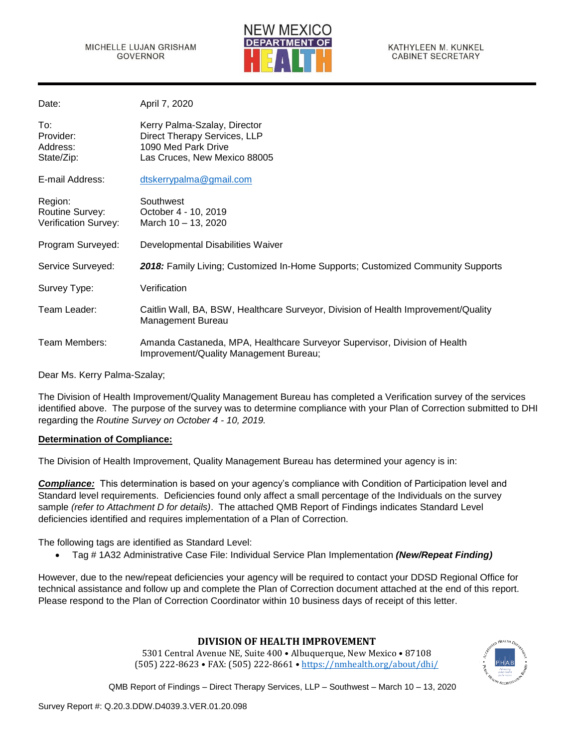

| Date:                                              | April 7, 2020                                                                                                       |
|----------------------------------------------------|---------------------------------------------------------------------------------------------------------------------|
| To:<br>Provider:<br>Address:<br>State/Zip:         | Kerry Palma-Szalay, Director<br>Direct Therapy Services, LLP<br>1090 Med Park Drive<br>Las Cruces, New Mexico 88005 |
| E-mail Address:                                    | dtskerrypalma@gmail.com                                                                                             |
| Region:<br>Routine Survey:<br>Verification Survey: | Southwest<br>October 4 - 10, 2019<br>March 10 - 13, 2020                                                            |
| Program Surveyed:                                  | Developmental Disabilities Waiver                                                                                   |
| Service Surveyed:                                  | 2018: Family Living; Customized In-Home Supports; Customized Community Supports                                     |
| Survey Type:                                       | Verification                                                                                                        |
| Team Leader:                                       | Caitlin Wall, BA, BSW, Healthcare Surveyor, Division of Health Improvement/Quality<br>Management Bureau             |
| Team Members:                                      | Amanda Castaneda, MPA, Healthcare Surveyor Supervisor, Division of Health<br>Improvement/Quality Management Bureau; |

Dear Ms. Kerry Palma-Szalay;

The Division of Health Improvement/Quality Management Bureau has completed a Verification survey of the services identified above. The purpose of the survey was to determine compliance with your Plan of Correction submitted to DHI regarding the *Routine Survey on October 4 - 10, 2019.*

#### **Determination of Compliance:**

The Division of Health Improvement, Quality Management Bureau has determined your agency is in:

*Compliance:* This determination is based on your agency's compliance with Condition of Participation level and Standard level requirements. Deficiencies found only affect a small percentage of the Individuals on the survey sample *(refer to Attachment D for details)*. The attached QMB Report of Findings indicates Standard Level deficiencies identified and requires implementation of a Plan of Correction.

The following tags are identified as Standard Level:

• Tag # 1A32 Administrative Case File: Individual Service Plan Implementation *(New/Repeat Finding)*

However, due to the new/repeat deficiencies your agency will be required to contact your DDSD Regional Office for technical assistance and follow up and complete the Plan of Correction document attached at the end of this report. Please respond to the Plan of Correction Coordinator within 10 business days of receipt of this letter.

# **DIVISION OF HEALTH IMPROVEMENT**

5301 Central Avenue NE, Suite 400 • Albuquerque, New Mexico • 87108 (505) 222-8623 • FAX: (505) 222-8661 • <https://nmhealth.org/about/dhi/>

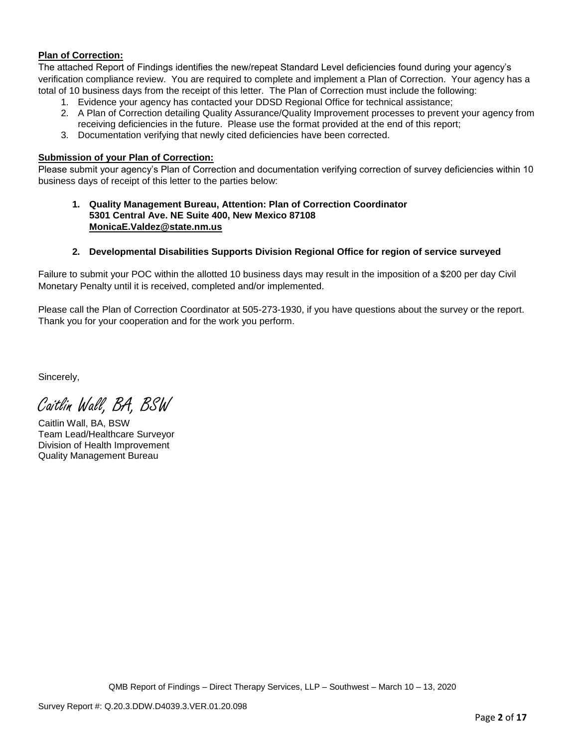## **Plan of Correction:**

The attached Report of Findings identifies the new/repeat Standard Level deficiencies found during your agency's verification compliance review. You are required to complete and implement a Plan of Correction. Your agency has a total of 10 business days from the receipt of this letter. The Plan of Correction must include the following:

- 1. Evidence your agency has contacted your DDSD Regional Office for technical assistance;
- 2. A Plan of Correction detailing Quality Assurance/Quality Improvement processes to prevent your agency from receiving deficiencies in the future. Please use the format provided at the end of this report;
- 3. Documentation verifying that newly cited deficiencies have been corrected.

## **Submission of your Plan of Correction:**

Please submit your agency's Plan of Correction and documentation verifying correction of survey deficiencies within 10 business days of receipt of this letter to the parties below:

**1. Quality Management Bureau, Attention: Plan of Correction Coordinator 5301 Central Ave. NE Suite 400, New Mexico 87108 [MonicaE.Valdez@state.nm.us](mailto:MonicaE.Valdez@state.nm.us)**

## **2. Developmental Disabilities Supports Division Regional Office for region of service surveyed**

Failure to submit your POC within the allotted 10 business days may result in the imposition of a \$200 per day Civil Monetary Penalty until it is received, completed and/or implemented.

Please call the Plan of Correction Coordinator at 505-273-1930, if you have questions about the survey or the report. Thank you for your cooperation and for the work you perform.

Sincerely,

Caitlin Wall, BA, BSW

Caitlin Wall, BA, BSW Team Lead/Healthcare Surveyor Division of Health Improvement Quality Management Bureau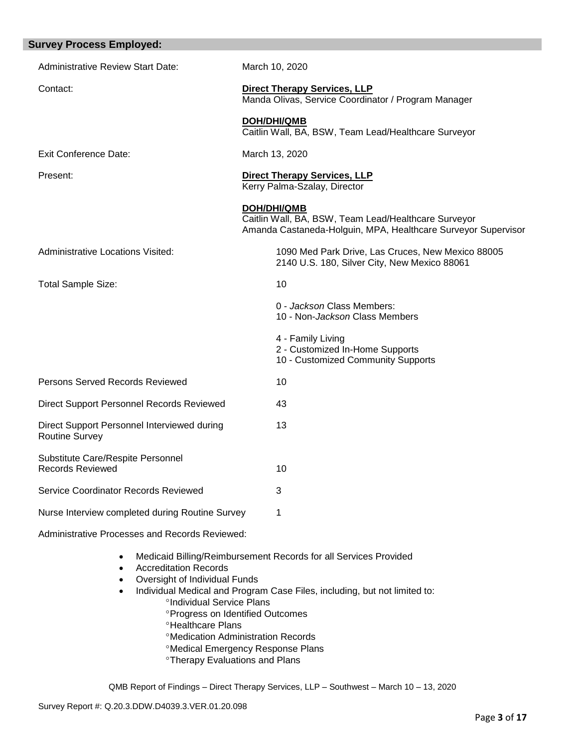| <b>Survey Process Employed:</b>                                      |                                                                                                                                      |
|----------------------------------------------------------------------|--------------------------------------------------------------------------------------------------------------------------------------|
| <b>Administrative Review Start Date:</b>                             | March 10, 2020                                                                                                                       |
| Contact:                                                             | <b>Direct Therapy Services, LLP</b><br>Manda Olivas, Service Coordinator / Program Manager                                           |
|                                                                      | <b>DOH/DHI/QMB</b><br>Caitlin Wall, BA, BSW, Team Lead/Healthcare Surveyor                                                           |
| <b>Exit Conference Date:</b>                                         | March 13, 2020                                                                                                                       |
| Present:                                                             | <b>Direct Therapy Services, LLP</b><br>Kerry Palma-Szalay, Director                                                                  |
|                                                                      | DOH/DHI/QMB<br>Caitlin Wall, BA, BSW, Team Lead/Healthcare Surveyor<br>Amanda Castaneda-Holguin, MPA, Healthcare Surveyor Supervisor |
| <b>Administrative Locations Visited:</b>                             | 1090 Med Park Drive, Las Cruces, New Mexico 88005<br>2140 U.S. 180, Silver City, New Mexico 88061                                    |
| Total Sample Size:                                                   | 10                                                                                                                                   |
|                                                                      | 0 - Jackson Class Members:<br>10 - Non- <i>Jackson</i> Class Members                                                                 |
|                                                                      | 4 - Family Living<br>2 - Customized In-Home Supports<br>10 - Customized Community Supports                                           |
| Persons Served Records Reviewed                                      | 10                                                                                                                                   |
| Direct Support Personnel Records Reviewed                            | 43                                                                                                                                   |
| Direct Support Personnel Interviewed during<br><b>Routine Survey</b> | 13                                                                                                                                   |
| Substitute Care/Respite Personnel<br><b>Records Reviewed</b>         | 10                                                                                                                                   |
| Service Coordinator Records Reviewed                                 | 3                                                                                                                                    |
| Nurse Interview completed during Routine Survey                      | 1                                                                                                                                    |
| Administrative Processes and Records Reviewed:                       |                                                                                                                                      |

- Medicaid Billing/Reimbursement Records for all Services Provided
- Accreditation Records
- Oversight of Individual Funds
- Individual Medical and Program Case Files, including, but not limited to:
	- <sup>o</sup>Individual Service Plans
	- Progress on Identified Outcomes
	- **<sup>o</sup>Healthcare Plans**
	- Medication Administration Records
	- Medical Emergency Response Plans
	- **<sup>o</sup>Therapy Evaluations and Plans**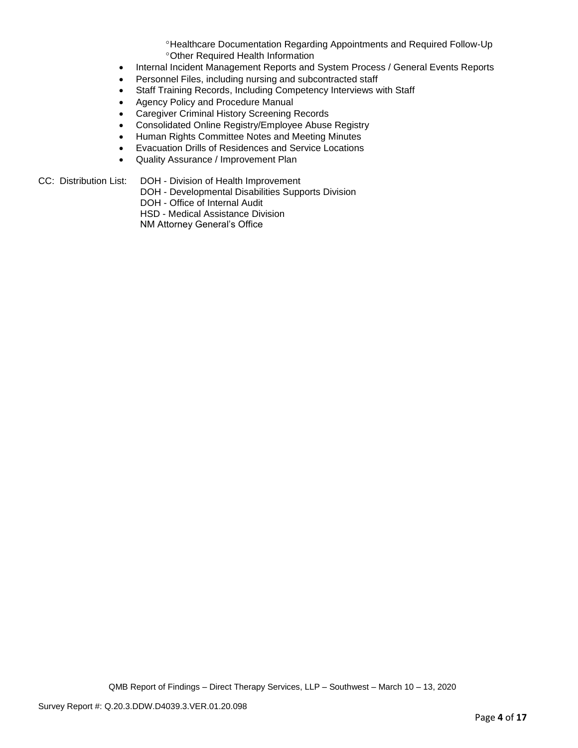Healthcare Documentation Regarding Appointments and Required Follow-Up Other Required Health Information

- Internal Incident Management Reports and System Process / General Events Reports
- Personnel Files, including nursing and subcontracted staff
- Staff Training Records, Including Competency Interviews with Staff
- Agency Policy and Procedure Manual
- Caregiver Criminal History Screening Records
- Consolidated Online Registry/Employee Abuse Registry
- Human Rights Committee Notes and Meeting Minutes
- Evacuation Drills of Residences and Service Locations
- Quality Assurance / Improvement Plan

#### CC: Distribution List: DOH - Division of Health Improvement

DOH - Developmental Disabilities Supports Division

DOH - Office of Internal Audit

HSD - Medical Assistance Division

NM Attorney General's Office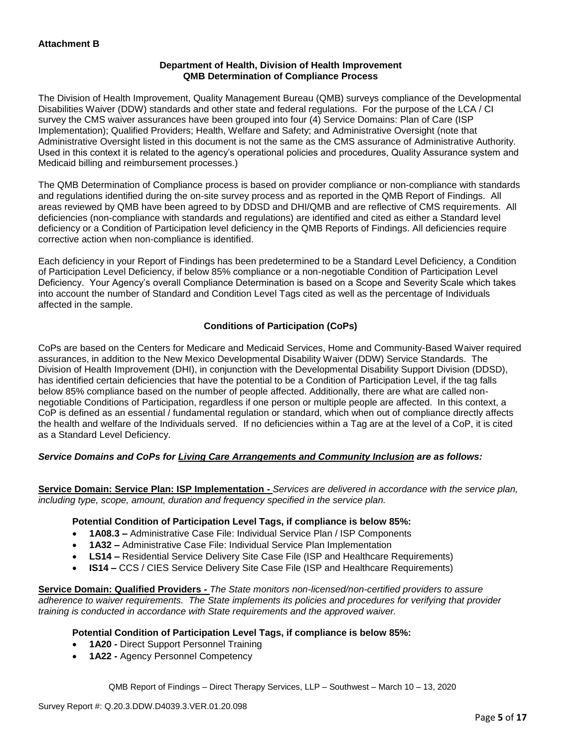## **Department of Health, Division of Health Improvement QMB Determination of Compliance Process**

The Division of Health Improvement, Quality Management Bureau (QMB) surveys compliance of the Developmental Disabilities Waiver (DDW) standards and other state and federal regulations. For the purpose of the LCA / CI survey the CMS waiver assurances have been grouped into four (4) Service Domains: Plan of Care (ISP Implementation); Qualified Providers; Health, Welfare and Safety; and Administrative Oversight (note that Administrative Oversight listed in this document is not the same as the CMS assurance of Administrative Authority. Used in this context it is related to the agency's operational policies and procedures, Quality Assurance system and Medicaid billing and reimbursement processes.)

The QMB Determination of Compliance process is based on provider compliance or non-compliance with standards and regulations identified during the on-site survey process and as reported in the QMB Report of Findings. All areas reviewed by QMB have been agreed to by DDSD and DHI/QMB and are reflective of CMS requirements. All deficiencies (non-compliance with standards and regulations) are identified and cited as either a Standard level deficiency or a Condition of Participation level deficiency in the QMB Reports of Findings. All deficiencies require corrective action when non-compliance is identified.

Each deficiency in your Report of Findings has been predetermined to be a Standard Level Deficiency, a Condition of Participation Level Deficiency, if below 85% compliance or a non-negotiable Condition of Participation Level Deficiency. Your Agency's overall Compliance Determination is based on a Scope and Severity Scale which takes into account the number of Standard and Condition Level Tags cited as well as the percentage of Individuals affected in the sample.

# **Conditions of Participation (CoPs)**

CoPs are based on the Centers for Medicare and Medicaid Services, Home and Community-Based Waiver required assurances, in addition to the New Mexico Developmental Disability Waiver (DDW) Service Standards. The Division of Health Improvement (DHI), in conjunction with the Developmental Disability Support Division (DDSD), has identified certain deficiencies that have the potential to be a Condition of Participation Level, if the tag falls below 85% compliance based on the number of people affected. Additionally, there are what are called nonnegotiable Conditions of Participation, regardless if one person or multiple people are affected. In this context, a CoP is defined as an essential / fundamental regulation or standard, which when out of compliance directly affects the health and welfare of the Individuals served. If no deficiencies within a Tag are at the level of a CoP, it is cited as a Standard Level Deficiency.

# *Service Domains and CoPs for Living Care Arrangements and Community Inclusion are as follows:*

**Service Domain: Service Plan: ISP Implementation -** *Services are delivered in accordance with the service plan, including type, scope, amount, duration and frequency specified in the service plan.*

#### **Potential Condition of Participation Level Tags, if compliance is below 85%:**

- **1A08.3 –** Administrative Case File: Individual Service Plan / ISP Components
- **1A32 –** Administrative Case File: Individual Service Plan Implementation
- **LS14 –** Residential Service Delivery Site Case File (ISP and Healthcare Requirements)
- **IS14 –** CCS / CIES Service Delivery Site Case File (ISP and Healthcare Requirements)

**Service Domain: Qualified Providers -** *The State monitors non-licensed/non-certified providers to assure adherence to waiver requirements. The State implements its policies and procedures for verifying that provider training is conducted in accordance with State requirements and the approved waiver.*

#### **Potential Condition of Participation Level Tags, if compliance is below 85%:**

- **1A20 -** Direct Support Personnel Training
- **1A22 -** Agency Personnel Competency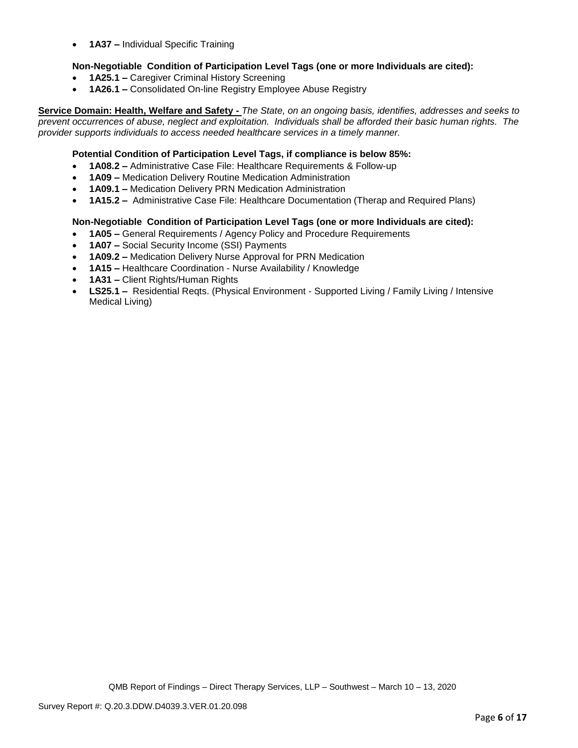• **1A37 –** Individual Specific Training

## **Non-Negotiable Condition of Participation Level Tags (one or more Individuals are cited):**

- **1A25.1 –** Caregiver Criminal History Screening
- **1A26.1 –** Consolidated On-line Registry Employee Abuse Registry

**Service Domain: Health, Welfare and Safety -** *The State, on an ongoing basis, identifies, addresses and seeks to prevent occurrences of abuse, neglect and exploitation. Individuals shall be afforded their basic human rights. The provider supports individuals to access needed healthcare services in a timely manner.*

### **Potential Condition of Participation Level Tags, if compliance is below 85%:**

- **1A08.2 –** Administrative Case File: Healthcare Requirements & Follow-up
- **1A09 –** Medication Delivery Routine Medication Administration
- **1A09.1 –** Medication Delivery PRN Medication Administration
- **1A15.2 –** Administrative Case File: Healthcare Documentation (Therap and Required Plans)

#### **Non-Negotiable Condition of Participation Level Tags (one or more Individuals are cited):**

- **1A05 –** General Requirements / Agency Policy and Procedure Requirements
- **1A07 –** Social Security Income (SSI) Payments
- **1A09.2 –** Medication Delivery Nurse Approval for PRN Medication
- **1A15 –** Healthcare Coordination Nurse Availability / Knowledge
- **1A31 –** Client Rights/Human Rights
- **LS25.1 –** Residential Reqts. (Physical Environment Supported Living / Family Living / Intensive Medical Living)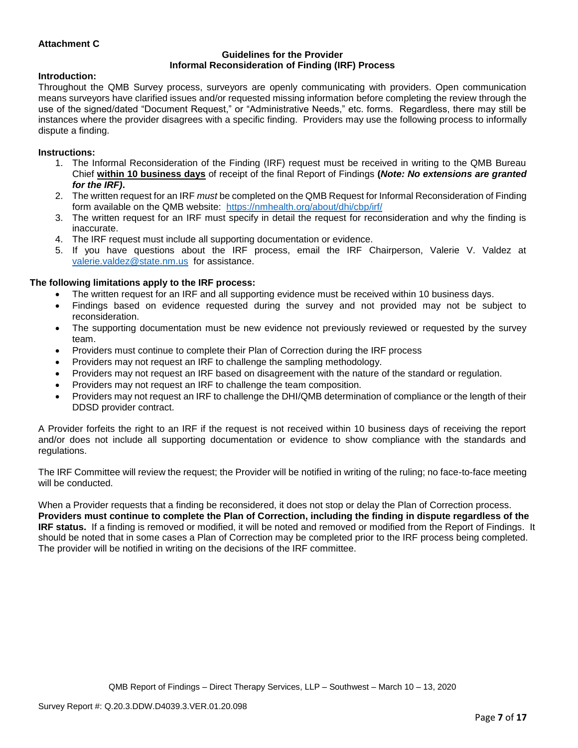## **Attachment C**

#### **Guidelines for the Provider Informal Reconsideration of Finding (IRF) Process**

#### **Introduction:**

Throughout the QMB Survey process, surveyors are openly communicating with providers. Open communication means surveyors have clarified issues and/or requested missing information before completing the review through the use of the signed/dated "Document Request," or "Administrative Needs," etc. forms. Regardless, there may still be instances where the provider disagrees with a specific finding. Providers may use the following process to informally dispute a finding.

#### **Instructions:**

- 1. The Informal Reconsideration of the Finding (IRF) request must be received in writing to the QMB Bureau Chief **within 10 business days** of receipt of the final Report of Findings **(***Note: No extensions are granted for the IRF)***.**
- 2. The written request for an IRF *must* be completed on the QMB Request for Informal Reconsideration of Finding form available on the QMB website: <https://nmhealth.org/about/dhi/cbp/irf/>
- 3. The written request for an IRF must specify in detail the request for reconsideration and why the finding is inaccurate.
- 4. The IRF request must include all supporting documentation or evidence.
- 5. If you have questions about the IRF process, email the IRF Chairperson, Valerie V. Valdez at [valerie.valdez@state.nm.us](mailto:valerie.valdez@state.nm.us) for assistance.

#### **The following limitations apply to the IRF process:**

- The written request for an IRF and all supporting evidence must be received within 10 business days.
- Findings based on evidence requested during the survey and not provided may not be subject to reconsideration.
- The supporting documentation must be new evidence not previously reviewed or requested by the survey team.
- Providers must continue to complete their Plan of Correction during the IRF process
- Providers may not request an IRF to challenge the sampling methodology.
- Providers may not request an IRF based on disagreement with the nature of the standard or regulation.
- Providers may not request an IRF to challenge the team composition.
- Providers may not request an IRF to challenge the DHI/QMB determination of compliance or the length of their DDSD provider contract.

A Provider forfeits the right to an IRF if the request is not received within 10 business days of receiving the report and/or does not include all supporting documentation or evidence to show compliance with the standards and regulations.

The IRF Committee will review the request; the Provider will be notified in writing of the ruling; no face-to-face meeting will be conducted.

When a Provider requests that a finding be reconsidered, it does not stop or delay the Plan of Correction process. **Providers must continue to complete the Plan of Correction, including the finding in dispute regardless of the IRF status.** If a finding is removed or modified, it will be noted and removed or modified from the Report of Findings. It should be noted that in some cases a Plan of Correction may be completed prior to the IRF process being completed. The provider will be notified in writing on the decisions of the IRF committee.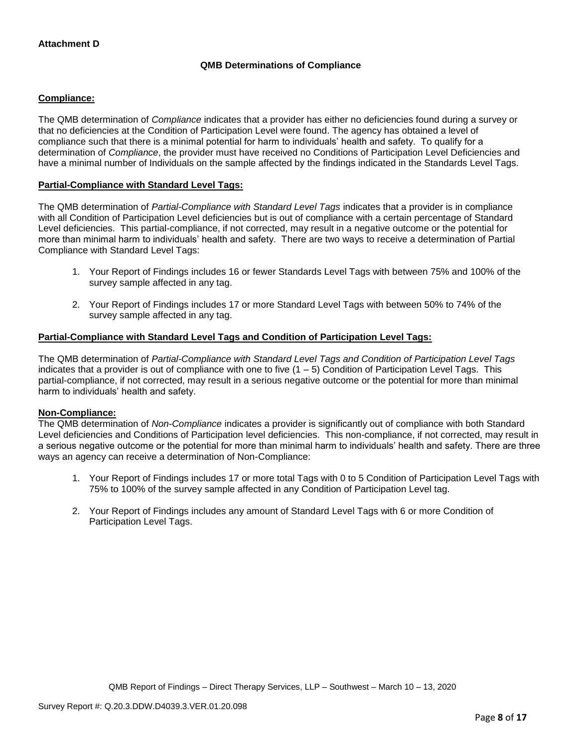# **QMB Determinations of Compliance**

## **Compliance:**

The QMB determination of *Compliance* indicates that a provider has either no deficiencies found during a survey or that no deficiencies at the Condition of Participation Level were found. The agency has obtained a level of compliance such that there is a minimal potential for harm to individuals' health and safety. To qualify for a determination of *Compliance*, the provider must have received no Conditions of Participation Level Deficiencies and have a minimal number of Individuals on the sample affected by the findings indicated in the Standards Level Tags.

### **Partial-Compliance with Standard Level Tags:**

The QMB determination of *Partial-Compliance with Standard Level Tags* indicates that a provider is in compliance with all Condition of Participation Level deficiencies but is out of compliance with a certain percentage of Standard Level deficiencies. This partial-compliance, if not corrected, may result in a negative outcome or the potential for more than minimal harm to individuals' health and safety. There are two ways to receive a determination of Partial Compliance with Standard Level Tags:

- 1. Your Report of Findings includes 16 or fewer Standards Level Tags with between 75% and 100% of the survey sample affected in any tag.
- 2. Your Report of Findings includes 17 or more Standard Level Tags with between 50% to 74% of the survey sample affected in any tag.

## **Partial-Compliance with Standard Level Tags and Condition of Participation Level Tags:**

The QMB determination of *Partial-Compliance with Standard Level Tags and Condition of Participation Level Tags*  indicates that a provider is out of compliance with one to five (1 – 5) Condition of Participation Level Tags. This partial-compliance, if not corrected, may result in a serious negative outcome or the potential for more than minimal harm to individuals' health and safety.

#### **Non-Compliance:**

The QMB determination of *Non-Compliance* indicates a provider is significantly out of compliance with both Standard Level deficiencies and Conditions of Participation level deficiencies. This non-compliance, if not corrected, may result in a serious negative outcome or the potential for more than minimal harm to individuals' health and safety. There are three ways an agency can receive a determination of Non-Compliance:

- 1. Your Report of Findings includes 17 or more total Tags with 0 to 5 Condition of Participation Level Tags with 75% to 100% of the survey sample affected in any Condition of Participation Level tag.
- 2. Your Report of Findings includes any amount of Standard Level Tags with 6 or more Condition of Participation Level Tags.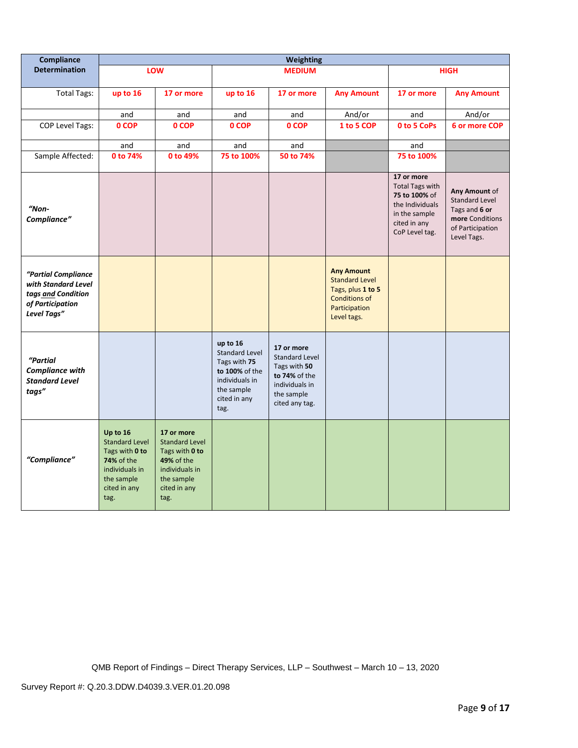| Compliance                                                                                          | Weighting                                                                                                                        |                                                                                                                                    |                                                                                                                             |                                                                                                                        |                                                                                                                         |                                                                                                                             |                                                                                                               |
|-----------------------------------------------------------------------------------------------------|----------------------------------------------------------------------------------------------------------------------------------|------------------------------------------------------------------------------------------------------------------------------------|-----------------------------------------------------------------------------------------------------------------------------|------------------------------------------------------------------------------------------------------------------------|-------------------------------------------------------------------------------------------------------------------------|-----------------------------------------------------------------------------------------------------------------------------|---------------------------------------------------------------------------------------------------------------|
| <b>Determination</b>                                                                                |                                                                                                                                  | LOW                                                                                                                                |                                                                                                                             | <b>MEDIUM</b>                                                                                                          |                                                                                                                         |                                                                                                                             | <b>HIGH</b>                                                                                                   |
| <b>Total Tags:</b>                                                                                  | up to 16                                                                                                                         | 17 or more                                                                                                                         | up to 16                                                                                                                    | 17 or more                                                                                                             | <b>Any Amount</b>                                                                                                       | 17 or more                                                                                                                  | <b>Any Amount</b>                                                                                             |
|                                                                                                     | and                                                                                                                              | and                                                                                                                                | and                                                                                                                         | and                                                                                                                    | And/or                                                                                                                  | and                                                                                                                         | And/or                                                                                                        |
| COP Level Tags:                                                                                     | 0 COP                                                                                                                            | 0 COP                                                                                                                              | 0 COP                                                                                                                       | 0 COP                                                                                                                  | 1 to 5 COP                                                                                                              | 0 to 5 CoPs                                                                                                                 | 6 or more COP                                                                                                 |
|                                                                                                     | and                                                                                                                              | and                                                                                                                                | and                                                                                                                         | and                                                                                                                    |                                                                                                                         | and                                                                                                                         |                                                                                                               |
| Sample Affected:                                                                                    | 0 to 74%                                                                                                                         | 0 to 49%                                                                                                                           | 75 to 100%                                                                                                                  | 50 to 74%                                                                                                              |                                                                                                                         | 75 to 100%                                                                                                                  |                                                                                                               |
| $"Non-$<br>Compliance"                                                                              |                                                                                                                                  |                                                                                                                                    |                                                                                                                             |                                                                                                                        |                                                                                                                         | 17 or more<br><b>Total Tags with</b><br>75 to 100% of<br>the Individuals<br>in the sample<br>cited in any<br>CoP Level tag. | Any Amount of<br><b>Standard Level</b><br>Tags and 6 or<br>more Conditions<br>of Participation<br>Level Tags. |
| "Partial Compliance<br>with Standard Level<br>tags and Condition<br>of Participation<br>Level Tags" |                                                                                                                                  |                                                                                                                                    |                                                                                                                             |                                                                                                                        | <b>Any Amount</b><br><b>Standard Level</b><br>Tags, plus 1 to 5<br><b>Conditions of</b><br>Participation<br>Level tags. |                                                                                                                             |                                                                                                               |
| "Partial<br><b>Compliance with</b><br><b>Standard Level</b><br>tags"                                |                                                                                                                                  |                                                                                                                                    | up to 16<br><b>Standard Level</b><br>Tags with 75<br>to 100% of the<br>individuals in<br>the sample<br>cited in any<br>tag. | 17 or more<br><b>Standard Level</b><br>Tags with 50<br>to 74% of the<br>individuals in<br>the sample<br>cited any tag. |                                                                                                                         |                                                                                                                             |                                                                                                               |
| "Compliance"                                                                                        | Up to 16<br><b>Standard Level</b><br>Tags with 0 to<br><b>74% of the</b><br>individuals in<br>the sample<br>cited in any<br>tag. | 17 or more<br><b>Standard Level</b><br>Tags with 0 to<br><b>49% of the</b><br>individuals in<br>the sample<br>cited in any<br>tag. |                                                                                                                             |                                                                                                                        |                                                                                                                         |                                                                                                                             |                                                                                                               |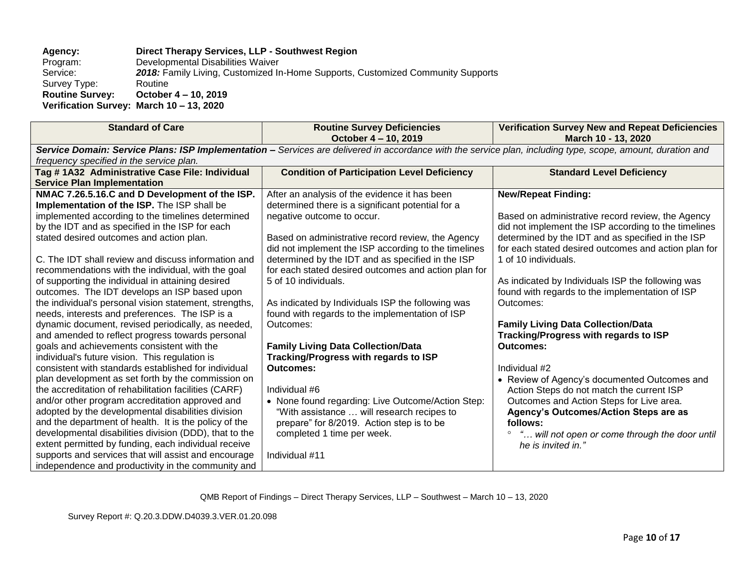#### **Agency: Direct Therapy Services, LLP - Southwest Region** Program: Developmental Disabilities Waiver<br>Service: 2018: Family Living, Customized In 2018: Family Living, Customized In-Home Supports, Customized Community Supports Routine Survey Type:<br>Routine Survey: **Routine Survey: October 4 – 10, 2019 Verification Survey: March 10 – 13, 2020**

| <b>Standard of Care</b>                                | <b>Routine Survey Deficiencies</b>                                                                                                                          | <b>Verification Survey New and Repeat Deficiencies</b> |
|--------------------------------------------------------|-------------------------------------------------------------------------------------------------------------------------------------------------------------|--------------------------------------------------------|
|                                                        | October 4 - 10, 2019                                                                                                                                        | March 10 - 13, 2020                                    |
|                                                        | Service Domain: Service Plans: ISP Implementation - Services are delivered in accordance with the service plan, including type, scope, amount, duration and |                                                        |
| frequency specified in the service plan.               |                                                                                                                                                             |                                                        |
| Tag # 1A32 Administrative Case File: Individual        | <b>Condition of Participation Level Deficiency</b>                                                                                                          | <b>Standard Level Deficiency</b>                       |
| <b>Service Plan Implementation</b>                     |                                                                                                                                                             |                                                        |
| NMAC 7.26.5.16.C and D Development of the ISP.         | After an analysis of the evidence it has been                                                                                                               | <b>New/Repeat Finding:</b>                             |
| Implementation of the ISP. The ISP shall be            | determined there is a significant potential for a                                                                                                           |                                                        |
| implemented according to the timelines determined      | negative outcome to occur.                                                                                                                                  | Based on administrative record review, the Agency      |
| by the IDT and as specified in the ISP for each        |                                                                                                                                                             | did not implement the ISP according to the timelines   |
| stated desired outcomes and action plan.               | Based on administrative record review, the Agency                                                                                                           | determined by the IDT and as specified in the ISP      |
|                                                        | did not implement the ISP according to the timelines                                                                                                        | for each stated desired outcomes and action plan for   |
| C. The IDT shall review and discuss information and    | determined by the IDT and as specified in the ISP                                                                                                           | 1 of 10 individuals.                                   |
| recommendations with the individual, with the goal     | for each stated desired outcomes and action plan for                                                                                                        |                                                        |
| of supporting the individual in attaining desired      | 5 of 10 individuals.                                                                                                                                        | As indicated by Individuals ISP the following was      |
| outcomes. The IDT develops an ISP based upon           |                                                                                                                                                             | found with regards to the implementation of ISP        |
| the individual's personal vision statement, strengths, | As indicated by Individuals ISP the following was                                                                                                           | Outcomes:                                              |
| needs, interests and preferences. The ISP is a         | found with regards to the implementation of ISP                                                                                                             |                                                        |
| dynamic document, revised periodically, as needed,     | Outcomes:                                                                                                                                                   | <b>Family Living Data Collection/Data</b>              |
| and amended to reflect progress towards personal       |                                                                                                                                                             | <b>Tracking/Progress with regards to ISP</b>           |
| goals and achievements consistent with the             | <b>Family Living Data Collection/Data</b>                                                                                                                   | Outcomes:                                              |
| individual's future vision. This regulation is         | <b>Tracking/Progress with regards to ISP</b>                                                                                                                |                                                        |
| consistent with standards established for individual   | <b>Outcomes:</b>                                                                                                                                            | Individual #2                                          |
| plan development as set forth by the commission on     |                                                                                                                                                             | • Review of Agency's documented Outcomes and           |
| the accreditation of rehabilitation facilities (CARF)  | Individual #6                                                                                                                                               | Action Steps do not match the current ISP              |
| and/or other program accreditation approved and        | • None found regarding: Live Outcome/Action Step:                                                                                                           | Outcomes and Action Steps for Live area.               |
| adopted by the developmental disabilities division     | "With assistance  will research recipes to                                                                                                                  | <b>Agency's Outcomes/Action Steps are as</b>           |
| and the department of health. It is the policy of the  | prepare" for 8/2019. Action step is to be                                                                                                                   | follows:                                               |
| developmental disabilities division (DDD), that to the | completed 1 time per week.                                                                                                                                  | " will not open or come through the door until         |
| extent permitted by funding, each individual receive   |                                                                                                                                                             | he is invited in."                                     |
| supports and services that will assist and encourage   | Individual #11                                                                                                                                              |                                                        |
| independence and productivity in the community and     |                                                                                                                                                             |                                                        |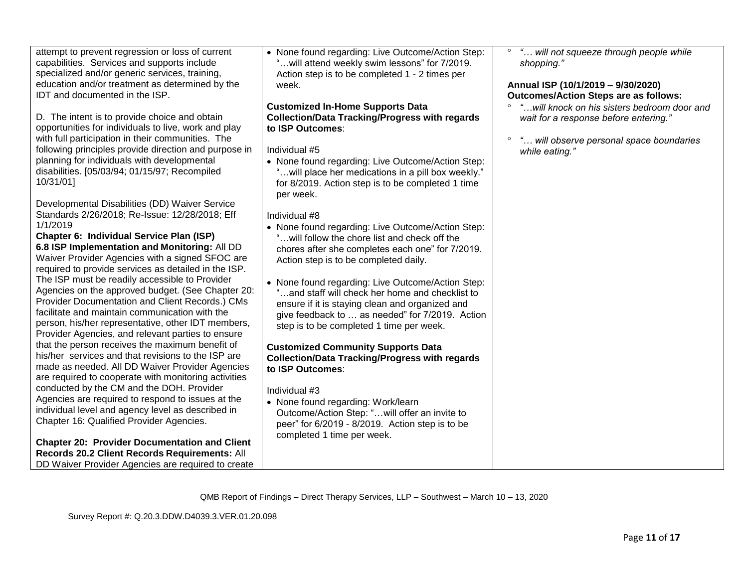D. The intent is to provide choice and obtain opportunities for individuals to live, work and play with full participation in their communities. The following principles provide direction and purpose in planning for individuals with developmental disabilities. [05/03/94; 01/15/97; Recompiled 10/31/01]

Developmental Disabilities (DD) Waiver Service Standards 2/26/2018; Re-Issue: 12/28/2018; Eff 1/1/2019

**Chapter 6: Individual Service Plan (ISP) 6.8 ISP Implementation and Monitoring:** All DD Waiver Provider Agencies with a signed SFOC are required to provide services as detailed in the ISP. The ISP must be readily accessible to Provider Agencies on the approved budget. (See Chapter 20: Provider Documentation and Client Records.) CMs facilitate and maintain communication with the person, his/her representative, other IDT members, Provider Agencies, and relevant parties to ensure that the person receives the maximum benefit of his/her services and that revisions to the ISP are made as needed. All DD Waiver Provider Agencies are required to cooperate with monitoring activities conducted by the CM and the DOH. Provider Agencies are required to respond to issues at the individual level and agency level as described in Chapter 16: Qualified Provider Agencies.

**Chapter 20: Provider Documentation and Client Records 20.2 Client Records Requirements:** All DD Waiver Provider Agencies are required to create • None found regarding: Live Outcome/Action Step: "…will attend weekly swim lessons" for 7/2019. Action step is to be completed 1 - 2 times per week.

**Customized In-Home Supports Data Collection/Data Tracking/Progress with regards to ISP Outcomes**:

Individual #5

• None found regarding: Live Outcome/Action Step: "…will place her medications in a pill box weekly." for 8/2019. Action step is to be completed 1 time per week.

Individual #8

- None found regarding: Live Outcome/Action Step: "…will follow the chore list and check off the chores after she completes each one" for 7/2019. Action step is to be completed daily.
- None found regarding: Live Outcome/Action Step: "…and staff will check her home and checklist to ensure if it is staying clean and organized and give feedback to … as needed" for 7/2019. Action step is to be completed 1 time per week.

## **Customized Community Supports Data Collection/Data Tracking/Progress with regards to ISP Outcomes**:

# Individual #3

• None found regarding: Work/learn Outcome/Action Step: "…will offer an invite to peer" for 6/2019 - 8/2019. Action step is to be completed 1 time per week.

 *"… will not squeeze through people while shopping."*

## **Annual ISP (10/1/2019 – 9/30/2020) Outcomes/Action Steps are as follows:**

- *"…will knock on his sisters bedroom door and wait for a response before entering."*
- *"… will observe personal space boundaries while eating."*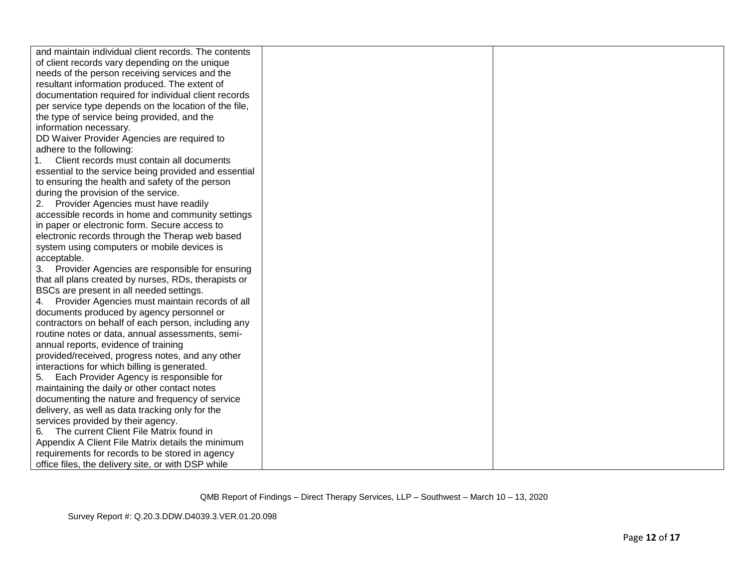| and maintain individual client records. The contents  |  |
|-------------------------------------------------------|--|
| of client records vary depending on the unique        |  |
| needs of the person receiving services and the        |  |
| resultant information produced. The extent of         |  |
| documentation required for individual client records  |  |
| per service type depends on the location of the file, |  |
| the type of service being provided, and the           |  |
| information necessary.                                |  |
| DD Waiver Provider Agencies are required to           |  |
| adhere to the following:                              |  |
| Client records must contain all documents             |  |
| essential to the service being provided and essential |  |
| to ensuring the health and safety of the person       |  |
| during the provision of the service.                  |  |
| 2. Provider Agencies must have readily                |  |
| accessible records in home and community settings     |  |
| in paper or electronic form. Secure access to         |  |
| electronic records through the Therap web based       |  |
| system using computers or mobile devices is           |  |
| acceptable.                                           |  |
| Provider Agencies are responsible for ensuring<br>3.  |  |
| that all plans created by nurses, RDs, therapists or  |  |
| BSCs are present in all needed settings.              |  |
| 4. Provider Agencies must maintain records of all     |  |
| documents produced by agency personnel or             |  |
| contractors on behalf of each person, including any   |  |
| routine notes or data, annual assessments, semi-      |  |
| annual reports, evidence of training                  |  |
| provided/received, progress notes, and any other      |  |
| interactions for which billing is generated.          |  |
| Each Provider Agency is responsible for<br>5.         |  |
| maintaining the daily or other contact notes          |  |
| documenting the nature and frequency of service       |  |
| delivery, as well as data tracking only for the       |  |
| services provided by their agency.                    |  |
| The current Client File Matrix found in               |  |
| Appendix A Client File Matrix details the minimum     |  |
| requirements for records to be stored in agency       |  |
| office files, the delivery site, or with DSP while    |  |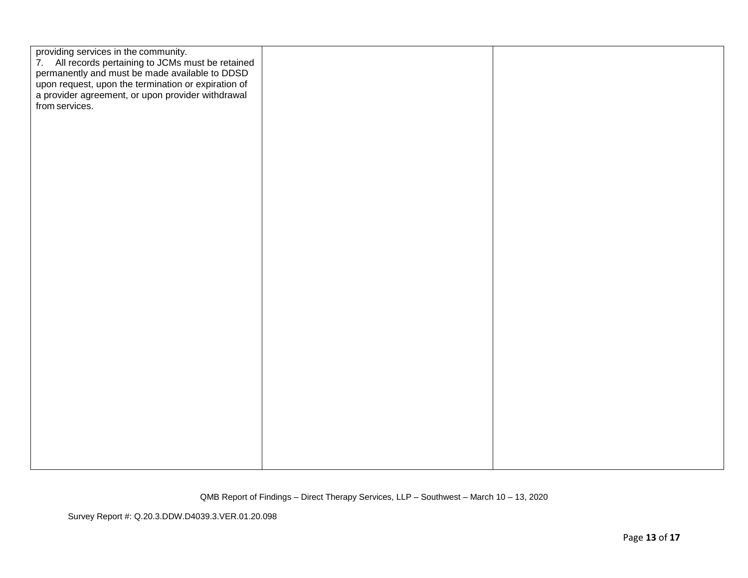| providing services in the community.<br>7. All records pertaining to JCMs must be retained<br>permanently and must be made available to DDSD<br>upon request, upon the termination or expiration of<br>a provider agreement, or upon provider withdrawal<br>from services. |  |
|----------------------------------------------------------------------------------------------------------------------------------------------------------------------------------------------------------------------------------------------------------------------------|--|
|                                                                                                                                                                                                                                                                            |  |
|                                                                                                                                                                                                                                                                            |  |
|                                                                                                                                                                                                                                                                            |  |
|                                                                                                                                                                                                                                                                            |  |
|                                                                                                                                                                                                                                                                            |  |

Survey Report #: Q.20.3.DDW.D4039.3.VER.01.20.098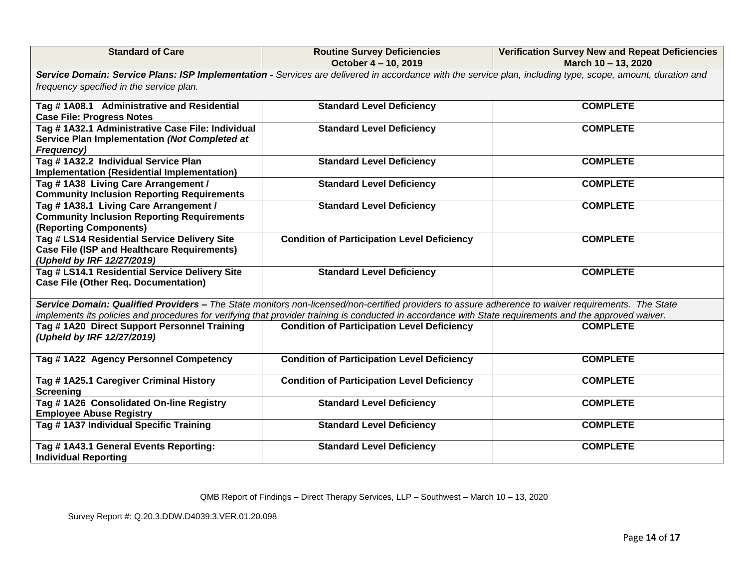| <b>Standard of Care</b>                                                                                                                                 | <b>Routine Survey Deficiencies</b><br>October 4 - 10, 2019                                                                                                  | <b>Verification Survey New and Repeat Deficiencies</b><br>March 10 - 13, 2020 |
|---------------------------------------------------------------------------------------------------------------------------------------------------------|-------------------------------------------------------------------------------------------------------------------------------------------------------------|-------------------------------------------------------------------------------|
|                                                                                                                                                         | Service Domain: Service Plans: ISP Implementation - Services are delivered in accordance with the service plan, including type, scope, amount, duration and |                                                                               |
| frequency specified in the service plan.                                                                                                                |                                                                                                                                                             |                                                                               |
| Tag #1A08.1 Administrative and Residential<br><b>Case File: Progress Notes</b>                                                                          | <b>Standard Level Deficiency</b>                                                                                                                            | <b>COMPLETE</b>                                                               |
| Tag #1A32.1 Administrative Case File: Individual<br>Service Plan Implementation (Not Completed at<br><b>Frequency)</b>                                  | <b>Standard Level Deficiency</b>                                                                                                                            | <b>COMPLETE</b>                                                               |
| Tag #1A32.2 Individual Service Plan<br><b>Implementation (Residential Implementation)</b>                                                               | <b>Standard Level Deficiency</b>                                                                                                                            | <b>COMPLETE</b>                                                               |
| Tag #1A38 Living Care Arrangement /<br><b>Community Inclusion Reporting Requirements</b>                                                                | <b>Standard Level Deficiency</b>                                                                                                                            | <b>COMPLETE</b>                                                               |
| Tag #1A38.1 Living Care Arrangement /<br><b>Community Inclusion Reporting Requirements</b><br>(Reporting Components)                                    | <b>Standard Level Deficiency</b>                                                                                                                            | <b>COMPLETE</b>                                                               |
| Tag # LS14 Residential Service Delivery Site<br><b>Case File (ISP and Healthcare Requirements)</b><br>(Upheld by IRF 12/27/2019)                        | <b>Condition of Participation Level Deficiency</b>                                                                                                          | <b>COMPLETE</b>                                                               |
| Tag # LS14.1 Residential Service Delivery Site<br><b>Case File (Other Req. Documentation)</b>                                                           | <b>Standard Level Deficiency</b>                                                                                                                            | <b>COMPLETE</b>                                                               |
| implements its policies and procedures for verifying that provider training is conducted in accordance with State requirements and the approved waiver. | Service Domain: Qualified Providers - The State monitors non-licensed/non-certified providers to assure adherence to waiver requirements. The State         |                                                                               |
| Tag #1A20 Direct Support Personnel Training<br>(Upheld by IRF 12/27/2019)                                                                               | <b>Condition of Participation Level Deficiency</b>                                                                                                          | <b>COMPLETE</b>                                                               |
| Tag #1A22 Agency Personnel Competency                                                                                                                   | <b>Condition of Participation Level Deficiency</b>                                                                                                          | <b>COMPLETE</b>                                                               |
| Tag #1A25.1 Caregiver Criminal History<br><b>Screening</b>                                                                                              | <b>Condition of Participation Level Deficiency</b>                                                                                                          | <b>COMPLETE</b>                                                               |
| Tag #1A26 Consolidated On-line Registry<br><b>Employee Abuse Registry</b>                                                                               | <b>Standard Level Deficiency</b>                                                                                                                            | <b>COMPLETE</b>                                                               |
| Tag #1A37 Individual Specific Training                                                                                                                  | <b>Standard Level Deficiency</b>                                                                                                                            | <b>COMPLETE</b>                                                               |
| Tag # 1A43.1 General Events Reporting:<br><b>Individual Reporting</b>                                                                                   | <b>Standard Level Deficiency</b>                                                                                                                            | <b>COMPLETE</b>                                                               |

Survey Report #: Q.20.3.DDW.D4039.3.VER.01.20.098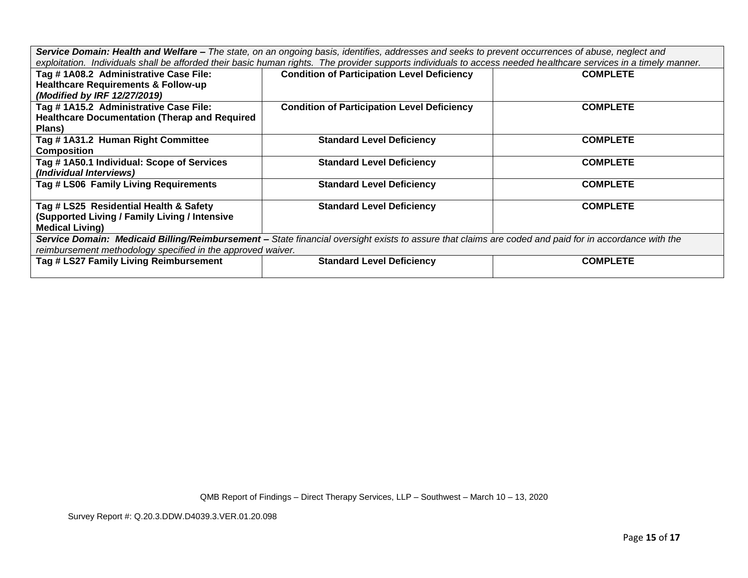*Service Domain: Health and Welfare – The state, on an ongoing basis, identifies, addresses and seeks to prevent occurrences of abuse, neglect and exploitation. Individuals shall be afforded their basic human rights. The provider supports individuals to access needed healthcare services in a timely manner.*

| Tag #1A08.2 Administrative Case File:<br><b>Healthcare Requirements &amp; Follow-up</b>                                                               | <b>Condition of Participation Level Deficiency</b> | <b>COMPLETE</b> |
|-------------------------------------------------------------------------------------------------------------------------------------------------------|----------------------------------------------------|-----------------|
| (Modified by IRF 12/27/2019)                                                                                                                          |                                                    |                 |
| Tag #1A15.2 Administrative Case File:                                                                                                                 | <b>Condition of Participation Level Deficiency</b> | <b>COMPLETE</b> |
| <b>Healthcare Documentation (Therap and Required</b>                                                                                                  |                                                    |                 |
| Plans)                                                                                                                                                |                                                    |                 |
| Tag #1A31.2 Human Right Committee                                                                                                                     | <b>Standard Level Deficiency</b>                   | <b>COMPLETE</b> |
| Composition                                                                                                                                           |                                                    |                 |
| Tag #1A50.1 Individual: Scope of Services                                                                                                             | <b>Standard Level Deficiency</b>                   | <b>COMPLETE</b> |
| (Individual Interviews)                                                                                                                               |                                                    |                 |
| Tag # LS06 Family Living Requirements                                                                                                                 | <b>Standard Level Deficiency</b>                   | <b>COMPLETE</b> |
|                                                                                                                                                       |                                                    |                 |
| Tag # LS25 Residential Health & Safety                                                                                                                | <b>Standard Level Deficiency</b>                   | <b>COMPLETE</b> |
| (Supported Living / Family Living / Intensive                                                                                                         |                                                    |                 |
| <b>Medical Living)</b>                                                                                                                                |                                                    |                 |
| Service Domain: Medicaid Billing/Reimbursement - State financial oversight exists to assure that claims are coded and paid for in accordance with the |                                                    |                 |
| reimbursement methodology specified in the approved waiver.                                                                                           |                                                    |                 |
| Tag # LS27 Family Living Reimbursement                                                                                                                | <b>Standard Level Deficiency</b>                   | <b>COMPLETE</b> |
|                                                                                                                                                       |                                                    |                 |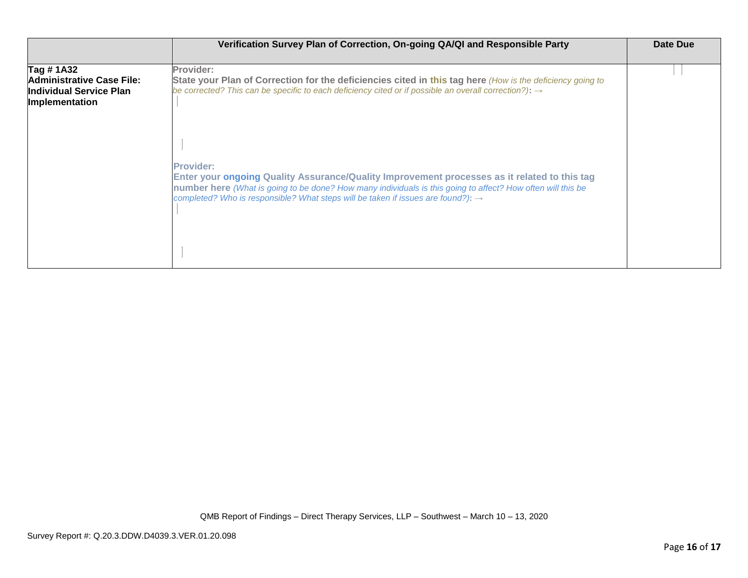|                                                                                      | Verification Survey Plan of Correction, On-going QA/QI and Responsible Party                                                                                                                                                                                                                                                    | Date Due |
|--------------------------------------------------------------------------------------|---------------------------------------------------------------------------------------------------------------------------------------------------------------------------------------------------------------------------------------------------------------------------------------------------------------------------------|----------|
| Tag #1A32<br>Administrative Case File:<br>lIndividual Service Plan<br>Implementation | Provider:<br>State your Plan of Correction for the deficiencies cited in this tag here (How is the deficiency going to<br>be corrected? This can be specific to each deficiency cited or if possible an overall correction?): $\rightarrow$                                                                                     |          |
|                                                                                      | <b>Provider:</b><br>Enter your ongoing Quality Assurance/Quality Improvement processes as it related to this tag<br>number here (What is going to be done? How many individuals is this going to affect? How often will this be<br>completed? Who is responsible? What steps will be taken if issues are found?): $\rightarrow$ |          |